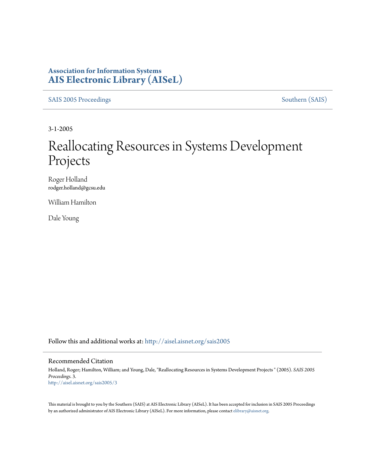### **Association for Information Systems [AIS Electronic Library \(AISeL\)](http://aisel.aisnet.org?utm_source=aisel.aisnet.org%2Fsais2005%2F3&utm_medium=PDF&utm_campaign=PDFCoverPages)**

[SAIS 2005 Proceedings](http://aisel.aisnet.org/sais2005?utm_source=aisel.aisnet.org%2Fsais2005%2F3&utm_medium=PDF&utm_campaign=PDFCoverPages) [Southern \(SAIS\)](http://aisel.aisnet.org/sais?utm_source=aisel.aisnet.org%2Fsais2005%2F3&utm_medium=PDF&utm_campaign=PDFCoverPages)

3-1-2005

# Reallocating Resources in Systems Development Projects

Roger Holland rodger.holland@gcsu.edu

William Hamilton

Dale Young

Follow this and additional works at: [http://aisel.aisnet.org/sais2005](http://aisel.aisnet.org/sais2005?utm_source=aisel.aisnet.org%2Fsais2005%2F3&utm_medium=PDF&utm_campaign=PDFCoverPages)

#### Recommended Citation

Holland, Roger; Hamilton, William; and Young, Dale, "Reallocating Resources in Systems Development Projects " (2005). *SAIS 2005 Proceedings*. 3. [http://aisel.aisnet.org/sais2005/3](http://aisel.aisnet.org/sais2005/3?utm_source=aisel.aisnet.org%2Fsais2005%2F3&utm_medium=PDF&utm_campaign=PDFCoverPages)

This material is brought to you by the Southern (SAIS) at AIS Electronic Library (AISeL). It has been accepted for inclusion in SAIS 2005 Proceedings by an authorized administrator of AIS Electronic Library (AISeL). For more information, please contact [elibrary@aisnet.org](mailto:elibrary@aisnet.org%3E).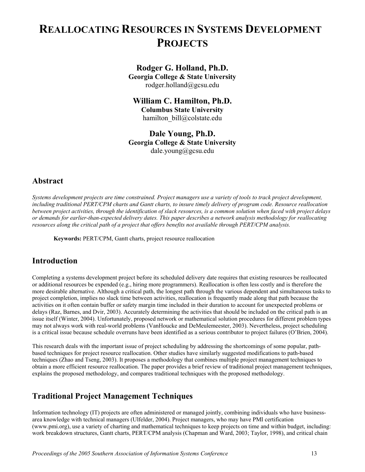# **REALLOCATING RESOURCES IN SYSTEMS DEVELOPMENT PROJECTS**

### **Rodger G. Holland, Ph.D.**

**Georgia College & State University**  rodger.holland@gcsu.edu

### **William C. Hamilton, Ph.D.**

**Columbus State University**  hamilton bill@colstate.edu

**Dale Young, Ph.D. Georgia College & State University**  dale.young@gcsu.edu

### **Abstract**

*Systems development projects are time constrained. Project managers use a variety of tools to track project development, including traditional PERT/CPM charts and Gantt charts, to insure timely delivery of program code. Resource reallocation between project activities, through the identification of slack resources, is a common solution when faced with project delays or demands for earlier-than-expected delivery dates. This paper describes a network analysis methodology for reallocating resources along the critical path of a project that offers benefits not available through PERT/CPM analysis.* 

**Keywords:** PERT/CPM, Gantt charts, project resource reallocation

# **Introduction**

Completing a systems development project before its scheduled delivery date requires that existing resources be reallocated or additional resources be expended (e.g., hiring more programmers). Reallocation is often less costly and is therefore the more desirable alternative. Although a critical path, the longest path through the various dependent and simultaneous tasks to project completion, implies no slack time between activities, reallocation is frequently made along that path because the activities on it often contain buffer or safety margin time included in their duration to account for unexpected problems or delays (Raz, Barnes, and Dvir, 2003). Accurately determining the activities that should be included on the critical path is an issue itself (Winter, 2004). Unfortunately, proposed network or mathematical solution procedures for different problem types may not always work with real-world problems (VanHoucke and DeMeulemeester, 2003). Nevertheless, project scheduling is a critical issue because schedule overruns have been identified as a serious contributor to project failures (O'Brien, 2004).

This research deals with the important issue of project scheduling by addressing the shortcomings of some popular, pathbased techniques for project resource reallocation. Other studies have similarly suggested modifications to path-based techniques (Zhao and Tseng, 2003). It proposes a methodology that combines multiple project management techniques to obtain a more efficient resource reallocation. The paper provides a brief review of traditional project management techniques, explains the proposed methodology, and compares traditional techniques with the proposed methodology.

# **Traditional Project Management Techniques**

Information technology (IT) projects are often administered or managed jointly, combining individuals who have businessarea knowledge with technical managers (Ulfelder, 2004). Project managers, who may have PMI certification (www.pmi.org), use a variety of charting and mathematical techniques to keep projects on time and within budget, including: work breakdown structures, Gantt charts, PERT/CPM analysis (Chapman and Ward, 2003; Taylor, 1998), and critical chain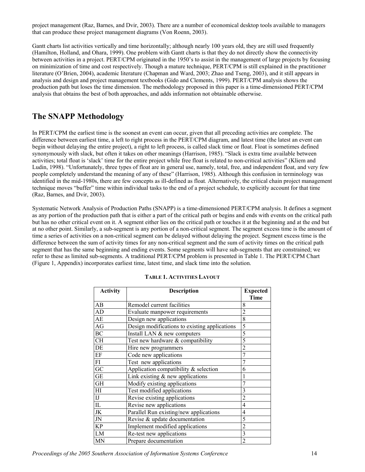project management (Raz, Barnes, and Dvir, 2003). There are a number of economical desktop tools available to managers that can produce these project management diagrams (Von Roenn, 2003).

Gantt charts list activities vertically and time horizontally; although nearly 100 years old, they are still used frequently (Hamilton, Holland, and Ohara, 1999). One problem with Gantt charts is that they do not directly show the connectivity between activities in a project. PERT/CPM originated in the 1950's to assist in the management of large projects by focusing on minimization of time and cost respectively. Though a mature technique, PERT/CPM is still explained in the practitioner literature (O'Brien, 2004), academic literature (Chapman and Ward, 2003; Zhao and Tseng, 2003), and it still appears in analysis and design and project management textbooks (Gido and Clements, 1999). PERT/CPM analysis shows the production path but loses the time dimension. The methodology proposed in this paper is a time-dimensioned PERT/CPM analysis that obtains the best of both approaches, and adds information not obtainable otherwise.

### **The SNAPP Methodology**

In PERT/CPM the earliest time is the soonest an event can occur, given that all preceding activities are complete. The difference between earliest time, a left to right process in the PERT/CPM diagram, and latest time (the latest an event can begin without delaying the entire project), a right to left process, is called slack time or float. Float is sometimes defined synonymously with slack, but often it takes on other meanings (Harrison, 1985). "Slack is extra time available between activities; total float is 'slack' time for the entire project while free float is related to non-critical activities" (Kliem and Ludin, 1998). "Unfortunately, three types of float are in general use, namely, total, free, and independent float, and very few people completely understand the meaning of any of these" (Harrison, 1985). Although this confusion in terminology was identified in the mid-1980s, there are few concepts as ill-defined as float*.* Alternatively, the critical chain project management technique moves "buffer" time within individual tasks to the end of a project schedule, to explicitly account for that time (Raz, Barnes, and Dvir, 2003).

Systematic Network Analysis of Production Paths (SNAPP) is a time-dimensioned PERT/CPM analysis. It defines a segment as any portion of the production path that is either a part of the critical path or begins and ends with events on the critical path but has no other critical event on it. A segment either lies on the critical path or touches it at the beginning and at the end but at no other point. Similarly, a sub-segment is any portion of a non-critical segment. The segment excess time is the amount of time a series of activities on a non-critical segment can be delayed without delaying the project. Segment excess time is the difference between the sum of activity times for any non-critical segment and the sum of activity times on the critical path segment that has the same beginning and ending events. Some segments will have sub-segments that are constrained; we refer to these as limited sub-segments. A traditional PERT/CPM problem is presented in Table 1. The PERT/CPM Chart (Figure 1, Appendix) incorporates earliest time, latest time, and slack time into the solution.

| <b>Activity</b>        | <b>Description</b>                            | <b>Expected</b> |
|------------------------|-----------------------------------------------|-----------------|
|                        |                                               | Time            |
| AB                     | Remodel current facilities                    | 8               |
| AD                     | Evaluate manpower requirements                | 2               |
| AE                     | Design new applications                       | 8               |
| AG                     | Design modifications to existing applications | 5               |
| BC                     | Install LAN & new computers                   | 5               |
| <b>CH</b>              | Test new hardware & compatibility             | 5               |
| DE                     | Hire new programmers                          | 2               |
| EF                     | Code new applications                         |                 |
| $\overline{FI}$        | Test new applications                         |                 |
| $\overline{GC}$        | Application compatibility $&$ selection       | 6               |
| <b>GE</b>              | Link existing $&$ new applications            |                 |
| <b>GH</b>              | Modify existing applications                  |                 |
| HI                     | Test modified applications                    | 3               |
| I                      | Revise existing applications                  | 2               |
| $\overline{\text{IL}}$ | Revise new applications                       | 4               |
| <b>JK</b>              | Parallel Run existing/new applications        | 4               |
| <b>JN</b>              | Revise & update documentation                 | 5               |
| <b>KP</b>              | Implement modified applications               | 2               |
| LM                     | Re-test new applications                      | 3               |
| <b>MN</b>              | Prepare documentation                         | 2               |

#### **TABLE 1. ACTIVITIES LAYOUT**

*Proceedings of the 2005 Southern Association of Information Systems Conference* 14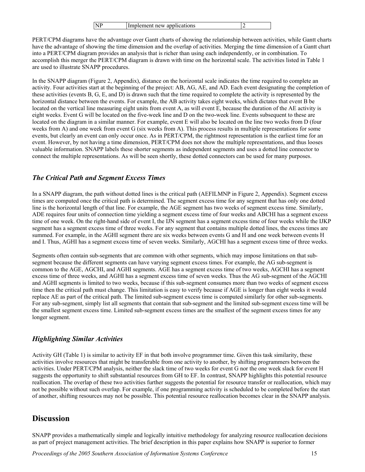|  | <b>NP</b> | Implement new applications |  |
|--|-----------|----------------------------|--|
|--|-----------|----------------------------|--|

PERT/CPM diagrams have the advantage over Gantt charts of showing the relationship between activities, while Gantt charts have the advantage of showing the time dimension and the overlap of activities. Merging the time dimension of a Gantt chart into a PERT/CPM diagram provides an analysis that is richer than using each independently, or in combination. To accomplish this merger the PERT/CPM diagram is drawn with time on the horizontal scale. The activities listed in Table 1 are used to illustrate SNAPP procedures.

In the SNAPP diagram (Figure 2, Appendix), distance on the horizontal scale indicates the time required to complete an activity. Four activities start at the beginning of the project: AB, AG, AE, and AD. Each event designating the completion of these activities (events B, G, E, and D) is drawn such that the time required to complete the activity is represented by the horizontal distance between the events. For example, the AB activity takes eight weeks, which dictates that event B be located on the vertical line measuring eight units from event A, as will event E, because the duration of the AE activity is eight weeks. Event G will be located on the five-week line and D on the two-week line. Events subsequent to these are located on the diagram in a similar manner. For example, event E will also be located on the line two weeks from D (four weeks from A) and one week from event G (six weeks from A). This process results in multiple representations for some events, but clearly an event can only occur once. As in PERT/CPM, the rightmost representation is the earliest time for an event. However, by not having a time dimension, PERT/CPM does not show the multiple representations, and thus looses valuable information. SNAPP labels these shorter segments as independent segments and uses a dotted line connector to connect the multiple representations. As will be seen shortly, these dotted connectors can be used for many purposes.

### *The Critical Path and Segment Excess Times*

In a SNAPP diagram, the path without dotted lines is the critical path (AEFILMNP in Figure 2, Appendix). Segment excess times are computed once the critical path is determined. The segment excess time for any segment that has only one dotted line is the horizontal length of that line. For example, the AGE segment has two weeks of segment excess time. Similarly, ADE requires four units of connection time yielding a segment excess time of four weeks and ABCHI has a segment excess time of one week. On the right-hand side of event I, the IJN segment has a segment excess time of four weeks while the IJKP segment has a segment excess time of three weeks. For any segment that contains multiple dotted lines, the excess times are summed. For example, in the AGHI segment there are six weeks between events G and H and one week between events H and I. Thus, AGHI has a segment excess time of seven weeks. Similarly, AGCHI has a segment excess time of three weeks.

Segments often contain sub-segments that are common with other segments, which may impose limitations on that subsegment because the different segments can have varying segment excess times. For example, the AG sub-segment is common to the AGE, AGCHI, and AGHI segments. AGE has a segment excess time of two weeks, AGCHI has a segment excess time of three weeks, and AGHI has a segment excess time of seven weeks. Thus the AG sub-segment of the AGCHI and AGHI segments is limited to two weeks, because if this sub-segment consumes more than two weeks of segment excess time then the critical path must change. This limitation is easy to verify because if AGE is longer than eight weeks it would replace AE as part of the critical path. The limited sub-segment excess time is computed similarly for other sub-segments. For any sub-segment, simply list all segments that contain that sub-segment and the limited sub-segment excess time will be the smallest segment excess time. Limited sub-segment excess times are the smallest of the segment excess times for any longer segment.

### *Highlighting Similar Activities*

Activity GH (Table 1) is similar to activity EF in that both involve programmer time. Given this task similarity, these activities involve resources that might be transferable from one activity to another, by shifting programmers between the activities. Under PERT/CPM analysis, neither the slack time of two weeks for event G nor the one week slack for event H suggests the opportunity to shift substantial resources from GH to EF. In contrast, SNAPP highlights this potential resource reallocation. The overlap of these two activities further suggests the potential for resource transfer or reallocation, which may not be possible without such overlap. For example, if one programming activity is scheduled to be completed before the start of another, shifting resources may not be possible. This potential resource reallocation becomes clear in the SNAPP analysis.

### **Discussion**

SNAPP provides a mathematically simple and logically intuitive methodology for analyzing resource reallocation decisions as part of project management activities. The brief description in this paper explains how SNAPP is superior to former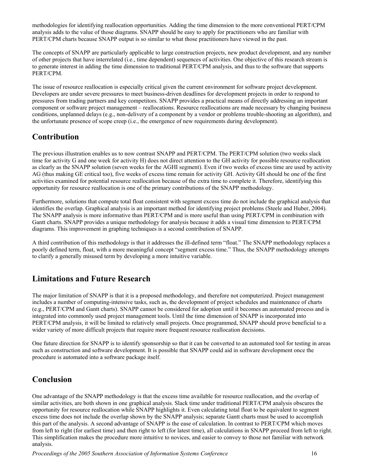methodologies for identifying reallocation opportunities. Adding the time dimension to the more conventional PERT/CPM analysis adds to the value of those diagrams. SNAPP should be easy to apply for practitioners who are familiar with PERT/CPM charts because SNAPP output is so similar to what those practitioners have viewed in the past.

The concepts of SNAPP are particularly applicable to large construction projects, new product development, and any number of other projects that have interrelated (i.e., time dependent) sequences of activities. One objective of this research stream is to generate interest in adding the time dimension to traditional PERT/CPM analysis, and thus to the software that supports PERT/CPM.

The issue of resource reallocation is especially critical given the current environment for software project development. Developers are under severe pressures to meet business-driven deadlines for development projects in order to respond to pressures from trading partners and key competitors. SNAPP provides a practical means of directly addressing an important component or software project management – reallocations. Resource reallocations are made necessary by changing business conditions, unplanned delays (e.g., non-delivery of a component by a vendor or problems trouble-shooting an algorithm), and the unfortunate presence of scope creep (i.e., the emergence of new requirements during development).

# **Contribution**

The previous illustration enables us to now contrast SNAPP and PERT/CPM. The PERT/CPM solution (two weeks slack time for activity G and one week for activity H) does not direct attention to the GH activity for possible resource reallocation as clearly as the SNAPP solution (seven weeks for the AGHI segment). Even if two weeks of excess time are used by activity AG (thus making GE critical too), five weeks of excess time remain for activity GH. Activity GH should be one of the first activities examined for potential resource reallocation because of the extra time to complete it. Therefore, identifying this opportunity for resource reallocation is one of the primary contributions of the SNAPP methodology.

Furthermore, solutions that compute total float consistent with segment excess time do not include the graphical analysis that identifies the overlap. Graphical analysis is an important method for identifying project problems (Steele and Huber, 2004). The SNAPP analysis is more informative than PERT/CPM and is more useful than using PERT/CPM in combination with Gantt charts. SNAPP provides a unique methodology for analysis because it adds a visual time dimension to PERT/CPM diagrams. This improvement in graphing techniques is a second contribution of SNAPP.

A third contribution of this methodology is that it addresses the ill-defined term "float." The SNAPP methodology replaces a poorly defined term, float, with a more meaningful concept "segment excess time." Thus, the SNAPP methodology attempts to clarify a generally misused term by developing a more intuitive variable.

# **Limitations and Future Research**

The major limitation of SNAPP is that it is a proposed methodology, and therefore not computerized. Project management includes a number of computing-intensive tasks, such as, the development of project schedules and maintenance of charts (e.g., PERT/CPM and Gantt charts). SNAPP cannot be considered for adoption until it becomes an automated process and is integrated into commonly used project management tools. Until the time dimension of SNAPP is incorporated into PERT/CPM analysis, it will be limited to relatively small projects. Once programmed, SNAPP should prove beneficial to a wider variety of more difficult projects that require more frequent resource reallocation decisions.

One future direction for SNAPP is to identify sponsorship so that it can be converted to an automated tool for testing in areas such as construction and software development. It is possible that SNAPP could aid in software development once the procedure is automated into a software package itself.

# **Conclusion**

One advantage of the SNAPP methodology is that the excess time available for resource reallocation, and the overlap of similar activities, are both shown in one graphical analysis. Slack time under traditional PERT/CPM analysis obscures the opportunity for resource reallocation while SNAPP highlights it. Even calculating total float to be equivalent to segment excess time does not include the overlap shown by the SNAPP analysis; separate Gantt charts must be used to accomplish this part of the analysis. A second advantage of SNAPP is the ease of calculation. In contrast to PERT/CPM which moves from left to right (for earliest time) and then right to left (for latest time), all calculations in SNAPP proceed from left to right. This simplification makes the procedure more intuitive to novices, and easier to convey to those not familiar with network analysis.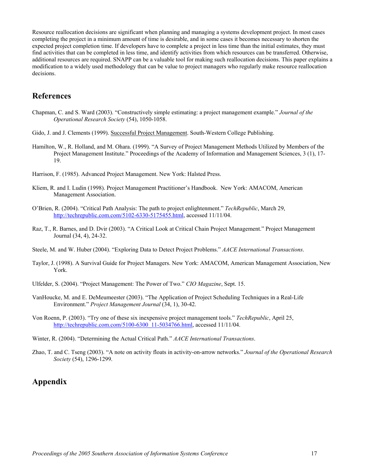Resource reallocation decisions are significant when planning and managing a systems development project. In most cases completing the project in a minimum amount of time is desirable, and in some cases it becomes necessary to shorten the expected project completion time. If developers have to complete a project in less time than the initial estimates, they must find activities that can be completed in less time, and identify activities from which resources can be transferred. Otherwise, additional resources are required. SNAPP can be a valuable tool for making such reallocation decisions. This paper explains a modification to a widely used methodology that can be value to project managers who regularly make resource reallocation decisions.

### **References**

- Chapman, C. and S. Ward (2003). "Constructively simple estimating: a project management example." *Journal of the Operational Research Society* (54), 1050-1058.
- Gido, J. and J. Clements (1999). Successful Project Management. South-Western College Publishing.
- Hamilton, W., R. Holland, and M. Ohara. (1999). "A Survey of Project Management Methods Utilized by Members of the Project Management Institute." Proceedings of the Academy of Information and Management Sciences, 3 (1), 17- 19.
- Harrison, F. (1985). Advanced Project Management. New York: Halsted Press.
- Kliem, R. and I. Ludin (1998). Project Management Practitioner's Handbook. New York: AMACOM, American Management Association.
- O'Brien, R. (2004). "Critical Path Analysis: The path to project enlightenment." *TechRepublic*, March 29, [http://techrepublic.com.com/5102-6330-5175455.html,](http://techrepublic.com.com/5102-6330-5175455.html) accessed 11/11/04.
- Raz, T., R. Barnes, and D. Dvir (2003). "A Critical Look at Critical Chain Project Management." Project Management Journal (34, 4), 24-32.
- Steele, M. and W. Huber (2004). "Exploring Data to Detect Project Problems." *AACE International Transactions*.
- Taylor, J. (1998). A Survival Guide for Project Managers. New York: AMACOM, American Management Association, New York.
- Ulfelder, S. (2004). "Project Management: The Power of Two." *CIO Magazine*, Sept. 15.
- VanHoucke, M. and E. DeMeumeester (2003). "The Application of Project Scheduling Techniques in a Real-Life Environment." *Project Management Journal* (34, 1), 30-42.
- Von Roenn, P. (2003). "Try one of these six inexpensive project management tools." *TechRepublic*, April 25, [http://techrepublic.com.com/5100-6300\\_11-5034766.html,](http://techrepublic.com.com/5100-6300_11-5034766.html) accessed 11/11/04.
- Winter, R. (2004). "Determining the Actual Critical Path." *AACE International Transactions*.
- Zhao, T. and C. Tseng (2003). "A note on activity floats in activity-on-arrow networks." *Journal of the Operational Research Society* (54), 1296-1299.

# **Appendix**